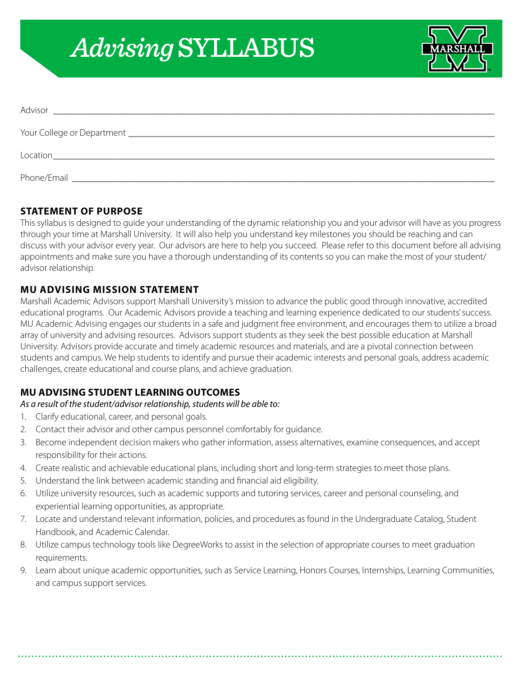# *Advising* SYLLABUS



| Advisor     |  |
|-------------|--|
|             |  |
|             |  |
| Phone/Email |  |

### **STATEMENT OF PURPOSE**

This syllabus is designed to guide your understanding of the dynamic relationship you and your advisor will have as you progress through your time at Marshall University. It will also help you understand key milestones you should be reaching and can discuss with your advisor every year. Our advisors are here to help you succeed. Please refer to this document before all advising appointments and make sure you have a thorough understanding of its contents so you can make the most of your student/ advisor relationship.

#### **MU ADVISING MISSION STATEMENT**

Marshall Academic Advisors support Marshall University's mission to advance the public good through innovative, accredited educational programs. Our Academic Advisors provide a teaching and learning experience dedicated to our students' success. MU Academic Advising engages our students in a safe and judgment free environment, and encourages them to utilize a broad array of university and advising resources. Advisors support students as they seek the best possible education at Marshall University. Advisors provide accurate and timely academic resources and materials, and are a pivotal connection between students and campus. We help students to identify and pursue their academic interests and personal goals, address academic challenges, create educational and course plans, and achieve graduation.

#### **MU ADVISING STUDENT LEARNING OUTCOMES**

## *As a result of the student/advisor relationship, students will be able to:*

- 1. Clarify educational, career, and personal goals.
- 2. Contact their advisor and other campus personnel comfortably for guidance.
- 3. Become independent decision makers who gather information, assess alternatives, examine consequences, and accept responsibility for their actions.
- 4. Create realistic and achievable educational plans, including short and long-term strategies to meet those plans.
- 5. Understand the link between academic standing and financial aid eligibility.
- 6. Utilize university resources, such as academic supports and tutoring services, career and personal counseling, and experiential learning opportunities, as appropriate.
- 7. Locate and understand relevant information, policies, and procedures as found in the Undergraduate Catalog, Student Handbook, and Academic Calendar.
- 8. Utilize campus technology tools like DegreeWorks to assist in the selection of appropriate courses to meet graduation requirements.
- 9. Learn about unique academic opportunities, such as Service Learning, Honors Courses, Internships, Learning Communities, and campus support services.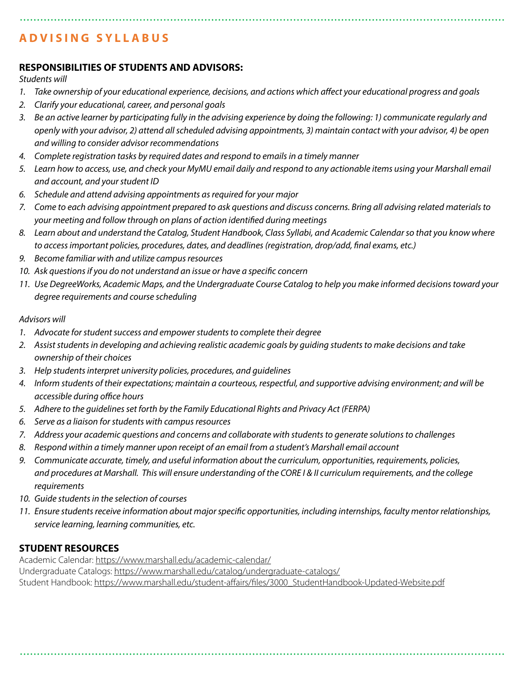# **ADVISING SYLLABUS**

#### **RESPONSIBILITIES OF STUDENTS AND ADVISORS:**

*Students will* 

- *1. Take ownership of your educational experience, decisions, and actions which affect your educational progress and goals*
- *2. Clarify your educational, career, and personal goals*
- *3. Be an active learner by participating fully in the advising experience by doing the following: 1) communicate regularly and openly with your advisor, 2) attend all scheduled advising appointments, 3) maintain contact with your advisor, 4) be open and willing to consider advisor recommendations*
- *4. Complete registration tasks by required dates and respond to emails in a timely manner*
- *5. Learn how to access, use, and check your MyMU email daily and respond to any actionable items using your Marshall email and account, and your student ID*
- *6. Schedule and attend advising appointments as required for your major*
- *7. Come to each advising appointment prepared to ask questions and discuss concerns. Bring all advising related materials to your meeting and follow through on plans of action identified during meetings*
- *8. Learn about and understand the Catalog, Student Handbook, Class Syllabi, and Academic Calendar so that you know where to access important policies, procedures, dates, and deadlines (registration, drop/add, final exams, etc.)*
- *9. Become familiar with and utilize campus resources*
- *10. Ask questions if you do not understand an issue or have a specific concern*
- *11. Use DegreeWorks, Academic Maps, and the Undergraduate Course Catalog to help you make informed decisions toward your degree requirements and course scheduling*

#### *Advisors will*

- *1. Advocate for student success and empower students to complete their degree*
- *2. Assist students in developing and achieving realistic academic goals by guiding students to make decisions and take ownership of their choices*
- *3. Help students interpret university policies, procedures, and guidelines*
- *4. Inform students of their expectations; maintain a courteous, respectful, and supportive advising environment; and will be accessible during office hours*
- *5. Adhere to the guidelines set forth by the Family Educational Rights and Privacy Act (FERPA)*
- *6. Serve as a liaison for students with campus resources*
- *7. Address your academic questions and concerns and collaborate with students to generate solutions to challenges*
- *8. Respond within a timely manner upon receipt of an email from a student's Marshall email account*
- *9. Communicate accurate, timely, and useful information about the curriculum, opportunities, requirements, policies, and procedures at Marshall. This will ensure understanding of the CORE I & II curriculum requirements, and the college requirements*
- *10. Guide students in the selection of courses*
- *11. Ensure students receive information about major specific opportunities, including internships, faculty mentor relationships, service learning, learning communities, etc.*

#### **STUDENT RESOURCES**

Academic Calendar:<https://www.marshall.edu/academic-calendar/> Undergraduate Catalogs: <https://www.marshall.edu/catalog/undergraduate-catalogs/> Student Handbook: [https://www.marshall.edu/student-affairs/files/3000\\_StudentHandbook-Updated-Website.pdf](https://www.marshall.edu/student-affairs/files/3000_StudentHandbook-Updated-Website.pdf)